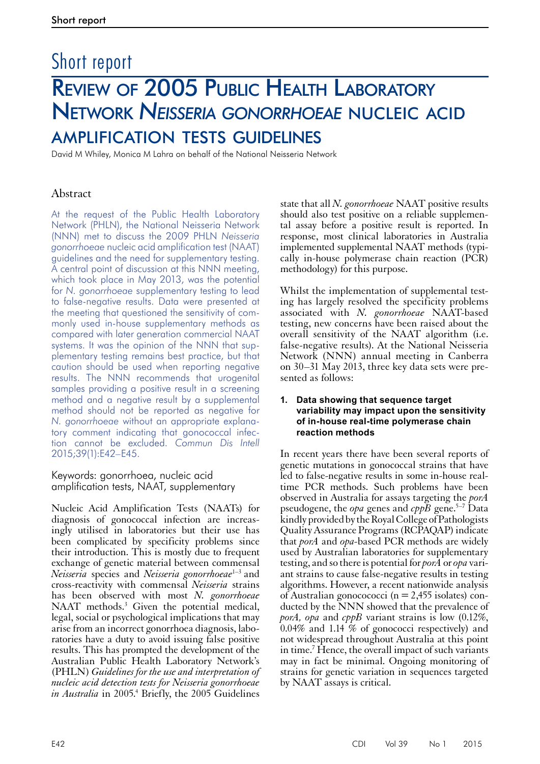# Short report Review of 2005 Public Health Laboratory Network *Neisseria gonorrhoeae* nucleic acid amplification tests guidelines

David M Whiley, Monica M Lahra on behalf of the National Neisseria Network

# Abstract

At the request of the Public Health Laboratory Network (PHLN), the National Neisseria Network (NNN) met to discuss the 2009 PHLN *Neisseria gonorrhoeae* nucleic acid amplification test (NAAT) guidelines and the need for supplementary testing. A central point of discussion at this NNN meeting, which took place in May 2013, was the potential for *N. gonorrhoeae* supplementary testing to lead to false-negative results. Data were presented at the meeting that questioned the sensitivity of commonly used in-house supplementary methods as compared with later generation commercial NAAT systems. It was the opinion of the NNN that supplementary testing remains best practice, but that caution should be used when reporting negative results. The NNN recommends that urogenital samples providing a positive result in a screening method and a negative result by a supplemental method should not be reported as negative for *N. gonorrhoeae* without an appropriate explanatory comment indicating that gonococcal infection cannot be excluded. *Commun Dis Intell* 2015;39(1):E42–E45.

## Keywords: gonorrhoea, nucleic acid amplification tests, NAAT, supplementary

Nucleic Acid Amplification Tests (NAATs) for diagnosis of gonococcal infection are increas- ingly utilised in laboratories but their use has been complicated by specificity problems since their introduction. This is mostly due to frequent exchange of genetic material between commensal *Neisseria* species and *Neisseria gonorrhoeae*<sup>1-3</sup> and cross-reactivity with commensal *Neisseria* strains has been observed with most *N. gonorrhoeae* NAAT methods.<sup>3</sup> Given the potential medical, legal, social or psychological implications that may arise from an incorrect gonorrhoea diagnosis, labo- ratories have a duty to avoid issuing false positive results. This has prompted the development of the Australian Public Health Laboratory Network's (PHLN) *Guidelines for the use and interpretation of nucleic acid detection tests for Neisseria gonorrhoeae*  in Australia in 2005.<sup>4</sup> Briefly, the 2005 Guidelines

state that all *N. gonorrhoeae* NAAT positive results should also test positive on a reliable supplemental assay before a positive result is reported. In response, most clinical laboratories in Australia implemented supplemental NAAT methods (typically in-house polymerase chain reaction (PCR) methodology) for this purpose.

Whilst the implementation of supplemental testing has largely resolved the specificity problems associated with *N. gonorrhoeae* NAAT-based testing, new concerns have been raised about the overall sensitivity of the NAAT algorithm (i.e. false-negative results). At the National Neisseria Network (NNN) annual meeting in Canberra on 30–31 May 2013, three key data sets were presented as follows:

#### **1. Data showing that sequence target variability may impact upon the sensitivity of in-house real-time polymerase chain reaction methods**

In recent years there have been several reports of genetic mutations in gonococcal strains that have led to false-negative results in some in-house realtime PCR methods. Such problems have been observed in Australia for assays targeting the *porA* pseudogene, the *opa* genes and  $cpp\overline{B}$  gene.<sup>5–7</sup> Data kindly provided by the Royal College of Pathologists Quality Assurance Programs (RCPAQAP) indicate that *porA* and *opa-*based PCR methods are widely used by Australian laboratories for supplementary testing, and so there is potential for *porA* or *opa* variant strains to cause false-negative results in testing algorithms. However, a recent nationwide analysis of Australian gonocococci ( $n = 2,455$  isolates) con-<br>ducted by the NNN showed that the prevalence of *porA, opa* and *cppB* variant strains is low (0.12%, 0.04% and 1.14 % of gonococci respectively) and not widespread throughout Australia at this point in time.<sup>7</sup> Hence, the overall impact of such variants may in fact be minimal. Ongoing monitoring of strains for genetic variation in sequences targeted by NAAT assays is critical.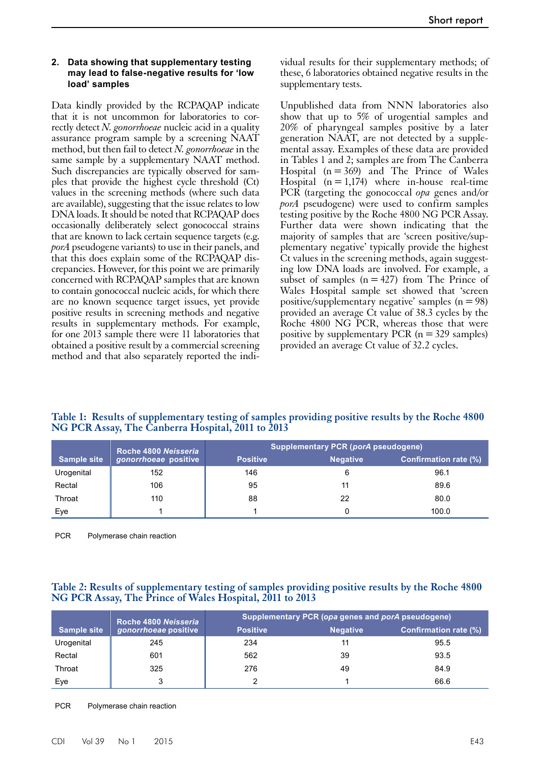#### **2. Data showing that supplementary testing may lead to false-negative results for 'low load' samples**

Data kindly provided by the RCPAQAP indicate that it is not uncommon for laboratories to correctly detect *N. gonorrhoeae* nucleic acid in a quality assurance program sample by a screening NAAT method, but then fail to detect *N. gonorrhoeae* in the same sample by a supplementary NAAT method. Such discrepancies are typically observed for samples that provide the highest cycle threshold (Ct) values in the screening methods (where such data are available), suggesting that the issue relates to low DNA loads. It should be noted that RCPAQAP does occasionally deliberately select gonococcal strains that are known to lack certain sequence targets (e.g. *porA* pseudogene variants) to use in their panels, and that this does explain some of the RCPAQAP discrepancies. However, for this point we are primarily concerned with RCPAQAP samples that are known to contain gonococcal nucleic acids, for which there are no known sequence target issues, yet provide positive results in screening methods and negative results in supplementary methods. For example, for one 2013 sample there were 11 laboratories that obtained a positive result by a commercial screening method and that also separately reported the individual results for their supplementary methods; of these, 6 laboratories obtained negative results in the supplementary tests.

Unpublished data from NNN laboratories also show that up to 5% of urogential samples and 20% of pharyngeal samples positive by a later generation NAAT, are not detected by a supplemental assay. Examples of these data are provided in Tables 1 and 2; samples are from The Canberra Hospital  $(n=369)$  and The Prince of Wales Hospital  $(n=1,174)$  where in-house real-time PCR (targeting the gonococcal *opa* genes and/or *porA* pseudogene) were used to confirm samples testing positive by the Roche 4800 NG PCR Assay. Further data were shown indicating that the majority of samples that are 'screen positive/supplementary negative' typically provide the highest Ct values in the screening methods, again suggesting low DNA loads are involved. For example, a subset of samples  $(n=427)$  from The Prince of Wales Hospital sample set showed that 'screen positive/supplementary negative' samples  $(n=98)$ provided an average Ct value of 38.3 cycles by the Roche 4800 NG PCR, whereas those that were positive by supplementary PCR  $(n=329)$  samples) provided an average Ct value of 32.2 cycles.

| Table 1: Results of supplementary testing of samples providing positive results by the Roche 4800<br>NG PCR Assay, The Canberra Hospital, 2011 to 2013 |  |  |  |
|--------------------------------------------------------------------------------------------------------------------------------------------------------|--|--|--|
|                                                                                                                                                        |  |  |  |

|                    | Roche 4800 Neisseria<br>gonorrhoeae positive | Supplementary PCR (porA pseudogene) |                 |                              |  |
|--------------------|----------------------------------------------|-------------------------------------|-----------------|------------------------------|--|
| <b>Sample site</b> |                                              | <b>Positive</b>                     | <b>Negative</b> | <b>Confirmation rate (%)</b> |  |
| Urogenital         | 152                                          | 146                                 | 6               | 96.1                         |  |
| Rectal             | 106                                          | 95                                  | 11              | 89.6                         |  |
| Throat             | 110                                          | 88                                  | 22              | 80.0                         |  |
| Eye                |                                              |                                     |                 | 100.0                        |  |

PCR Polymerase chain reaction

## **Table 2: Results of supplementary testing of samples providing positive results by the Roche 4800 NG PCR Assay, The Prince of Wales Hospital, 2011 to 2013**

| <b>Sample site</b> | Roche 4800 Neisseria<br>gonorrhoeae positive | Supplementary PCR (opa genes and porA pseudogene) |                 |                              |  |
|--------------------|----------------------------------------------|---------------------------------------------------|-----------------|------------------------------|--|
|                    |                                              | <b>Positive</b>                                   | <b>Negative</b> | <b>Confirmation rate (%)</b> |  |
| Urogenital         | 245                                          | 234                                               | 11              | 95.5                         |  |
| Rectal             | 601                                          | 562                                               | 39              | 93.5                         |  |
| Throat             | 325                                          | 276                                               | 49              | 84.9                         |  |
| Eye                | 3                                            |                                                   |                 | 66.6                         |  |

PCR Polymerase chain reaction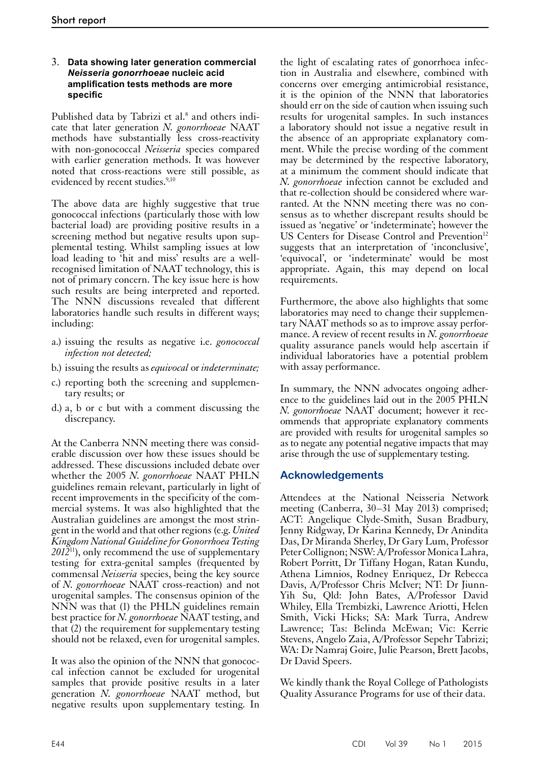## 3. **Data showing later generation commercial**  *Neisseria gonorrhoeae* **nucleic acid amplification tests methods are more specific**

Published data by Tabrizi et al.<sup>8</sup> and others indicate that later generation *N. gonorrhoeae* NAAT methods have substantially less cross-reactivity with non-gonococcal *Neisseria* species compared with earlier generation methods. It was however noted that cross-reactions were still possible, as evidenced by recent studies.<sup>9,10</sup>

The above data are highly suggestive that true gonococcal infections (particularly those with low bacterial load) are providing positive results in a screening method but negative results upon supplemental testing. Whilst sampling issues at low load leading to 'hit and miss' results are a wellrecognised limitation of NAAT technology, this is not of primary concern. The key issue here is how such results are being interpreted and reported. The NNN discussions revealed that different laboratories handle such results in different ways; including:

- a.) issuing the results as negative i.e. *gonococcal infection not detected;*
- b.) issuing the results as *equivocal* or *indeterminate;*
- c.) reporting both the screening and supplementary results; or
- d.) a, b or c but with a comment discussing the discrepancy.

At the Canberra NNN meeting there was consid- erable discussion over how these issues should be addressed. These discussions included debate over whether the 2005 *N. gonorrhoeae* NAAT PHLN guidelines remain relevant, particularly in light of recent improvements in the specificity of the com- mercial systems. It was also highlighted that the Australian guidelines are amongst the most strin- gent in the world and that other regions (e.g. *United Kingdom National Guideline for Gonorrhoea Testing 2012*11), only recommend the use of supplementary testing for extra-genital samples (frequented by commensal *Neisseria* species, being the key source of *N. gonorrhoeae* NAAT cross-reaction) and not urogenital samples. The consensus opinion of the NNN was that (1) the PHLN guidelines remain best practice for *N. gonorrhoeae* NAAT testing, and that (2) the requirement for supplementary testing should not be relaxed, even for urogenital samples.

It was also the opinion of the NNN that gonococcal infection cannot be excluded for urogenital samples that provide positive results in a later generation *N. gonorrhoeae* NAAT method, but negative results upon supplementary testing. In

the light of escalating rates of gonorrhoea infection in Australia and elsewhere, combined with concerns over emerging antimicrobial resistance, it is the opinion of the NNN that laboratories should err on the side of caution when issuing such results for urogenital samples. In such instances a laboratory should not issue a negative result in the absence of an appropriate explanatory comment. While the precise wording of the comment may be determined by the respective laboratory, at a minimum the comment should indicate that *N. gonorrhoeae* infection cannot be excluded and that re-collection should be considered where warranted. At the NNN meeting there was no consensus as to whether discrepant results should be issued as 'negative' or 'indeterminate'; however the US Centers for Disease Control and Prevention<sup>12</sup> suggests that an interpretation of 'inconclusive', 'equivocal', or 'indeterminate' would be most appropriate. Again, this may depend on local requirements.

Furthermore, the above also highlights that some laboratories may need to change their supplementary NAAT methods so as to improve assay performance. A review of recent results in *N. gonorrhoeae* quality assurance panels would help ascertain if individual laboratories have a potential problem with assay performance.

In summary, the NNN advocates ongoing adherence to the guidelines laid out in the 2005 PHLN *N. gonorrhoeae* NAAT document; however it recommends that appropriate explanatory comments are provided with results for urogenital samples so as to negate any potential negative impacts that may arise through the use of supplementary testing.

# **Acknowledgements**

Attendees at the National Neisseria Network meeting (Canberra, 30–31 May 2013) comprised; ACT: Angelique Clyde-Smith, Susan Bradbury, Jenny Ridgway, Dr Karina Kennedy, Dr Anindita Das, Dr Miranda Sherley, Dr Gary Lum, Professor Peter Collignon; NSW: A/Professor Monica Lahra, Robert Porritt, Dr Tiffany Hogan, Ratan Kundu, Athena Limnios, Rodney Enriquez, Dr Rebecca Davis, A/Professor Chris McIver; NT: Dr Jiunn-Yih Su, Qld: John Bates, A/Professor David Whiley, Ella Trembizki, Lawrence Ariotti, Helen Smith, Vicki Hicks; SA: Mark Turra, Andrew Lawrence; Tas: Belinda McEwan; Vic: Kerrie Stevens, Angelo Zaia, A/Professor Sepehr Tabrizi; WA: Dr Namraj Goire, Julie Pearson, Brett Jacobs, Dr David Speers.

We kindly thank the Royal College of Pathologists Quality Assurance Programs for use of their data.